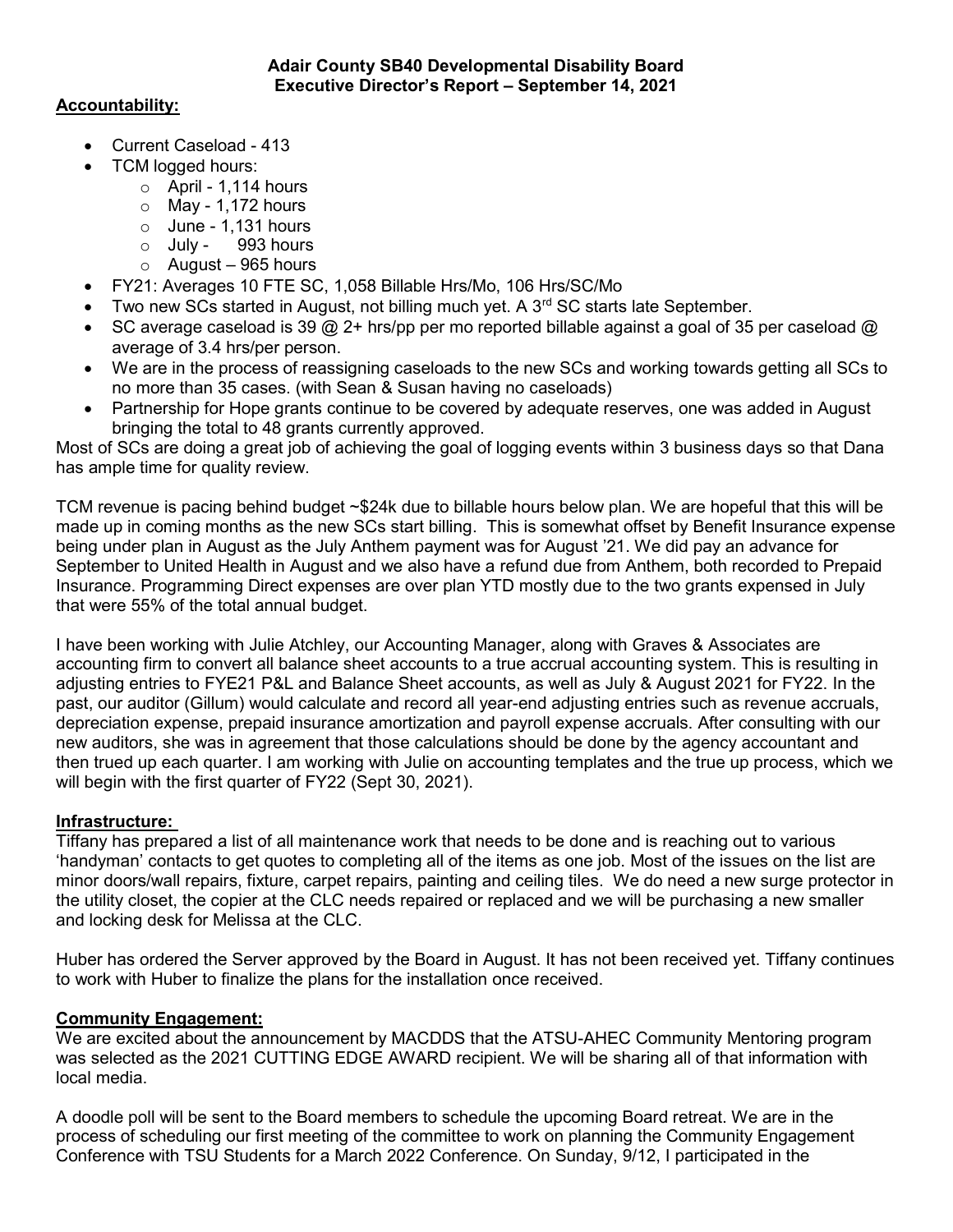# Accountability:

- Current Caseload 413
- TCM logged hours:
	- $\circ$  April 1,114 hours
	- $\circ$  May 1,172 hours
	- $\circ$  June 1,131 hours
	- o July 993 hours
	- $\circ$  August 965 hours
- FY21: Averages 10 FTE SC, 1,058 Billable Hrs/Mo, 106 Hrs/SC/Mo
- Two new SCs started in August, not billing much yet. A  $3<sup>rd</sup>$  SC starts late September.
- SC average caseload is 39  $@$  2+ hrs/pp per mo reported billable against a goal of 35 per caseload  $@$ average of 3.4 hrs/per person.
- We are in the process of reassigning caseloads to the new SCs and working towards getting all SCs to no more than 35 cases. (with Sean & Susan having no caseloads)
- Partnership for Hope grants continue to be covered by adequate reserves, one was added in August bringing the total to 48 grants currently approved.

Most of SCs are doing a great job of achieving the goal of logging events within 3 business days so that Dana has ample time for quality review.

TCM revenue is pacing behind budget ~\$24k due to billable hours below plan. We are hopeful that this will be made up in coming months as the new SCs start billing. This is somewhat offset by Benefit Insurance expense being under plan in August as the July Anthem payment was for August '21. We did pay an advance for September to United Health in August and we also have a refund due from Anthem, both recorded to Prepaid Insurance. Programming Direct expenses are over plan YTD mostly due to the two grants expensed in July that were 55% of the total annual budget.

I have been working with Julie Atchley, our Accounting Manager, along with Graves & Associates are accounting firm to convert all balance sheet accounts to a true accrual accounting system. This is resulting in adjusting entries to FYE21 P&L and Balance Sheet accounts, as well as July & August 2021 for FY22. In the past, our auditor (Gillum) would calculate and record all year-end adjusting entries such as revenue accruals, depreciation expense, prepaid insurance amortization and payroll expense accruals. After consulting with our new auditors, she was in agreement that those calculations should be done by the agency accountant and then trued up each quarter. I am working with Julie on accounting templates and the true up process, which we will begin with the first quarter of FY22 (Sept 30, 2021).

## Infrastructure:

Tiffany has prepared a list of all maintenance work that needs to be done and is reaching out to various 'handyman' contacts to get quotes to completing all of the items as one job. Most of the issues on the list are minor doors/wall repairs, fixture, carpet repairs, painting and ceiling tiles. We do need a new surge protector in the utility closet, the copier at the CLC needs repaired or replaced and we will be purchasing a new smaller and locking desk for Melissa at the CLC.

Huber has ordered the Server approved by the Board in August. It has not been received yet. Tiffany continues to work with Huber to finalize the plans for the installation once received.

## Community Engagement:

We are excited about the announcement by MACDDS that the ATSU-AHEC Community Mentoring program was selected as the 2021 CUTTING EDGE AWARD recipient. We will be sharing all of that information with local media.

A doodle poll will be sent to the Board members to schedule the upcoming Board retreat. We are in the process of scheduling our first meeting of the committee to work on planning the Community Engagement Conference with TSU Students for a March 2022 Conference. On Sunday, 9/12, I participated in the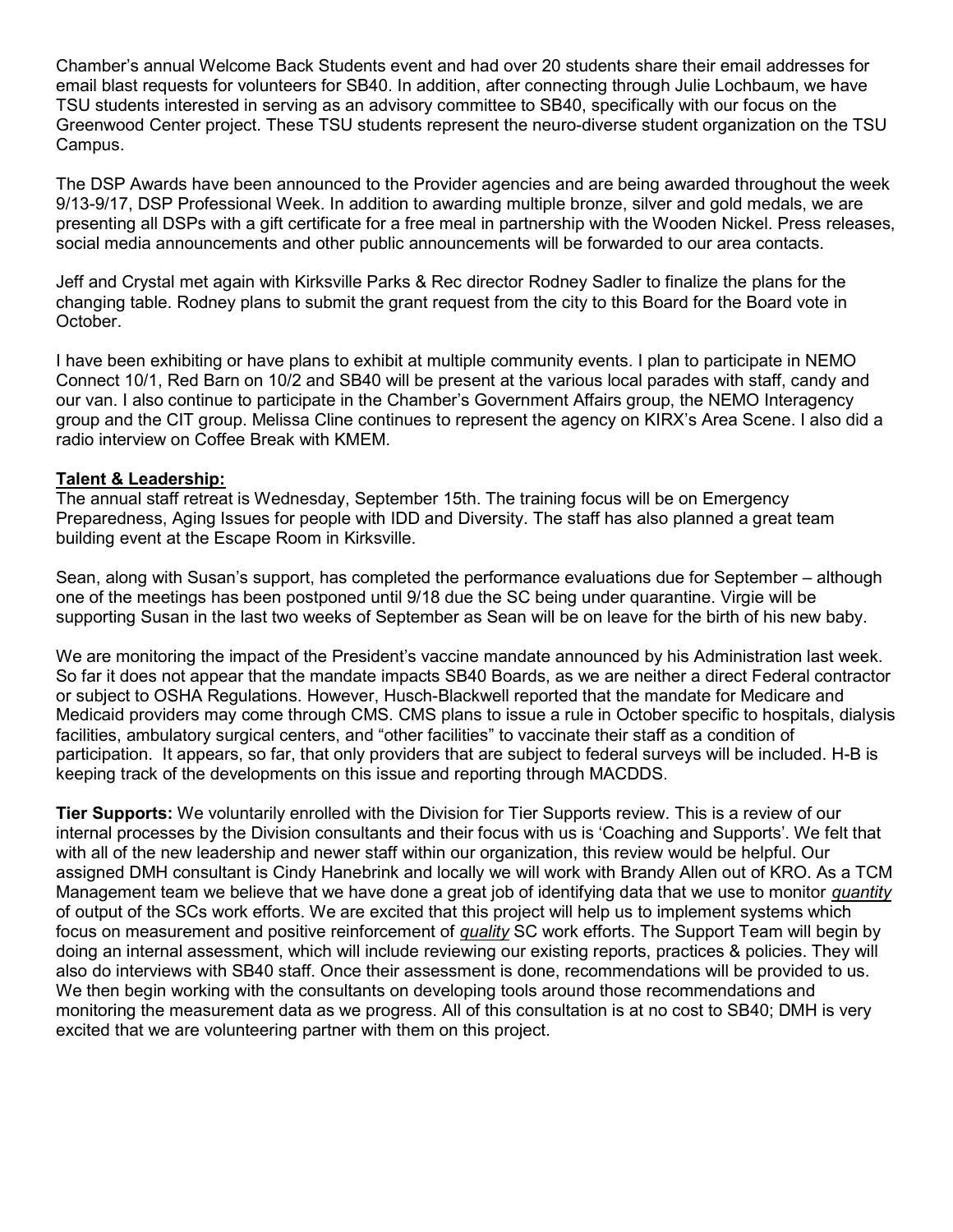Chamber's annual Welcome Back Students event and had over 20 students share their email addresses for email blast requests for volunteers for SB40. In addition, after connecting through Julie Lochbaum, we have TSU students interested in serving as an advisory committee to SB40, specifically with our focus on the Greenwood Center project. These TSU students represent the neuro-diverse student organization on the TSU Campus.

The DSP Awards have been announced to the Provider agencies and are being awarded throughout the week 9/13-9/17, DSP Professional Week. In addition to awarding multiple bronze, silver and gold medals, we are presenting all DSPs with a gift certificate for a free meal in partnership with the Wooden Nickel. Press releases, social media announcements and other public announcements will be forwarded to our area contacts.

Jeff and Crystal met again with Kirksville Parks & Rec director Rodney Sadler to finalize the plans for the changing table. Rodney plans to submit the grant request from the city to this Board for the Board vote in October.

I have been exhibiting or have plans to exhibit at multiple community events. I plan to participate in NEMO Connect 10/1, Red Barn on 10/2 and SB40 will be present at the various local parades with staff, candy and our van. I also continue to participate in the Chamber's Government Affairs group, the NEMO Interagency group and the CIT group. Melissa Cline continues to represent the agency on KIRX's Area Scene. I also did a radio interview on Coffee Break with KMEM.

#### Talent & Leadership:

The annual staff retreat is Wednesday, September 15th. The training focus will be on Emergency Preparedness, Aging Issues for people with IDD and Diversity. The staff has also planned a great team building event at the Escape Room in Kirksville.

Sean, along with Susan's support, has completed the performance evaluations due for September – although one of the meetings has been postponed until 9/18 due the SC being under quarantine. Virgie will be supporting Susan in the last two weeks of September as Sean will be on leave for the birth of his new baby.

We are monitoring the impact of the President's vaccine mandate announced by his Administration last week. So far it does not appear that the mandate impacts SB40 Boards, as we are neither a direct Federal contractor or subject to OSHA Regulations. However, Husch-Blackwell reported that the mandate for Medicare and Medicaid providers may come through CMS. CMS plans to issue a rule in October specific to hospitals, dialysis facilities, ambulatory surgical centers, and "other facilities" to vaccinate their staff as a condition of participation. It appears, so far, that only providers that are subject to federal surveys will be included. H-B is keeping track of the developments on this issue and reporting through MACDDS.

Tier Supports: We voluntarily enrolled with the Division for Tier Supports review. This is a review of our internal processes by the Division consultants and their focus with us is 'Coaching and Supports'. We felt that with all of the new leadership and newer staff within our organization, this review would be helpful. Our assigned DMH consultant is Cindy Hanebrink and locally we will work with Brandy Allen out of KRO. As a TCM Management team we believe that we have done a great job of identifying data that we use to monitor *quantity* of output of the SCs work efforts. We are excited that this project will help us to implement systems which focus on measurement and positive reinforcement of quality SC work efforts. The Support Team will begin by doing an internal assessment, which will include reviewing our existing reports, practices & policies. They will also do interviews with SB40 staff. Once their assessment is done, recommendations will be provided to us. We then begin working with the consultants on developing tools around those recommendations and monitoring the measurement data as we progress. All of this consultation is at no cost to SB40; DMH is very excited that we are volunteering partner with them on this project.